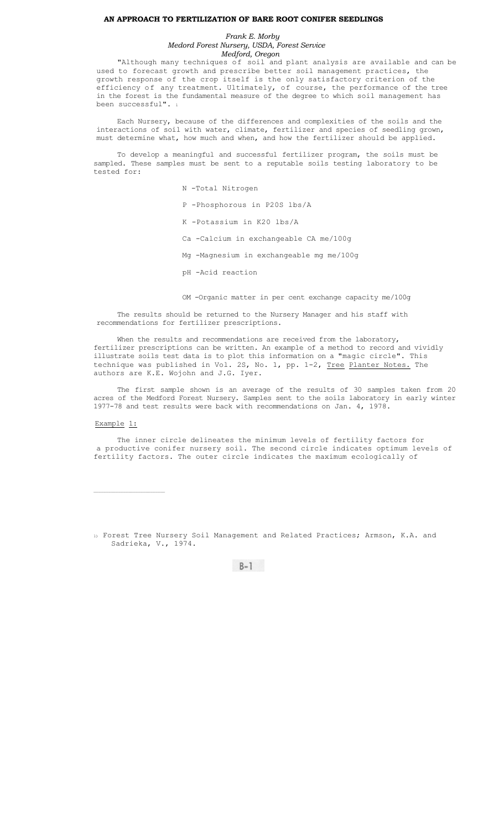### **AN APPROACH TO FERTILIZATION OF BARE ROOT CONIFER SEEDLINGS**

## *Frank E. Morby Medord Forest Nursery, USDA, Forest Service Medford, Oregon*

"Although many techniques of soil and plant analysis are available and can be used to forecast growth and prescribe better soil management practices, the growth response of the crop itself is the only satisfactory criterion of the efficiency of any treatment. Ultimately, of course, the performance of the tree in the forest is the fundamental measure of the degree to which soil management has been successful". 1

Each Nursery, because of the differences and complexities of the soils and the interactions of soil with water, climate, fertilizer and species of seedling grown, must determine what, how much and when, and how the fertilizer should be applied.

To develop a meaningful and successful fertilizer program, the soils must be sampled. These samples must be sent to a reputable soils testing laboratory to be tested for:

N -Total Nitrogen

P -Phosphorous in P20S lbs/A

K -Potassium in K20 lbs/A

Ca -Calcium in exchangeable CA me/100g

Mg -Magnesium in exchangeable mg me/100g

pH -Acid reaction

OM -Organic matter in per cent exchange capacity me/100g

The results should be returned to the Nursery Manager and his staff with recommendations for fertilizer prescriptions.

When the results and recommendations are received from the laboratory, fertilizer prescriptions can be written. An example of a method to record and vividly illustrate soils test data is to plot this information on a "magic circle". This technique was published in Vol. 2S, No. 1, pp. 1-2, Tree Planter Notes. The authors are K.E. Wojohn and J.G. Iyer.

The first sample shown is an average of the results of 30 samples taken from 20 acres of the Medford Forest Nursery. Samples sent to the soils laboratory in early winter 1977-78 and test results were back with recommendations on Jan. 4, 1978.

# Example 1:

 $\mathcal{L}_\text{max}$ 

The inner circle delineates the minimum levels of fertility factors for a productive conifer nursery soil. The second circle indicates optimum levels of fertility factors. The outer circle indicates the maximum ecologically of

1) Forest Tree Nursery Soil Management and Related Practices; Armson, K.A. and Sadrieka, V., 1974.

 $B-1$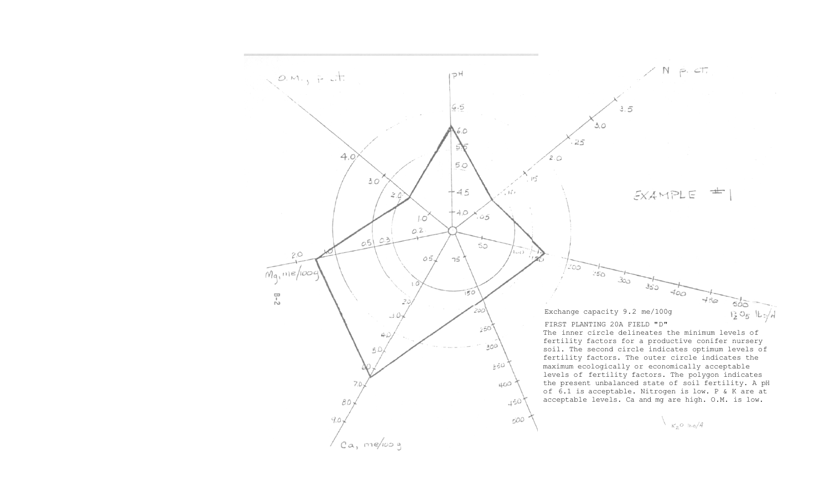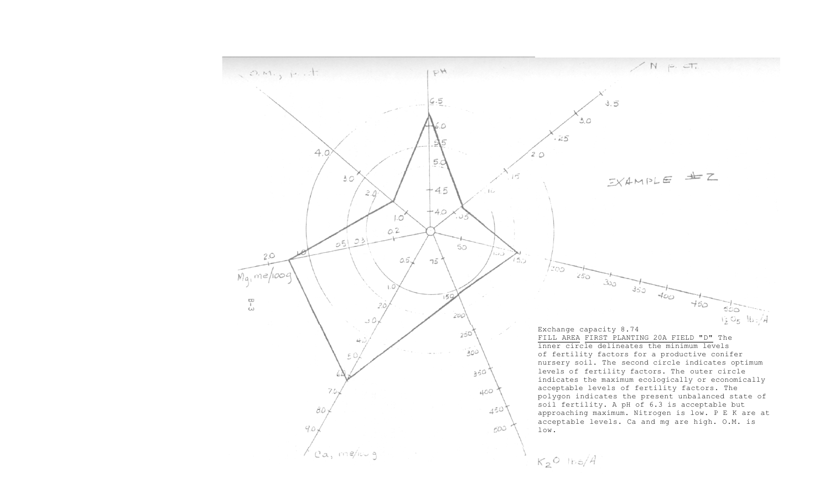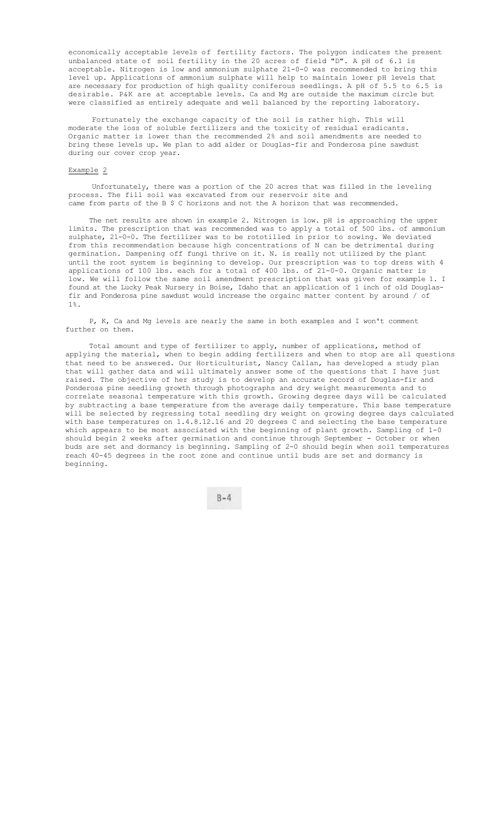economically acceptable levels of fertility factors. The polygon indicates the present unbalanced state of soil fertility in the 20 acres of field "D". A pH of 6.1 is acceptable. Nitrogen is low and ammonium sulphate 21-0-0 was recommended to bring this level up. Applications of ammonium sulphate will help to maintain lower pH levels that are necessary for production of high quality coniferous seedlings. A pH of 5.5 to 6.5 is desirable. P&K are at acceptable levels. Ca and Mg are outside the maximum circle but were classified as entirely adequate and well balanced by the reporting laboratory.

Fortunately the exchange capacity of the soil is rather high. This will moderate the loss of soluble fertilizers and the toxicity of residual eradicants. Organic matter is lower than the recommended 2% and soil amendments are needed to bring these levels up. We plan to add alder or Douglas-fir and Ponderosa pine sawdust during our cover crop year.

### Example 2

Unfortunately, there was a portion of the 20 acres that was filled in the leveling process. The fill soil was excavated from our reservoir site and came from parts of the B \$ C horizons and not the A horizon that was recommended.

The net results are shown in example 2. Nitrogen is low. pH is approaching the upper limits. The prescription that was recommended was to apply a total of 500 lbs. of ammonium sulphate, 21-0-0. The fertilizer was to be rototilled in prior to sowing. We deviated from this recommendation because high concentrations of N can be detrimental during germination. Dampening off fungi thrive on it. N. is really not utilized by the plant until the root system is beginning to develop. Our prescription was to top dress with 4 applications of 100 lbs. each for a total of 400 lbs. of 21-0-0. Organic matter is low. We will follow the same soil amendment prescription that was given for example 1. I found at the Lucky Peak Nursery in Boise, Idaho that an application of 1 inch of old Douglasfir and Ponderosa pine sawdust would increase the orgainc matter content by around / of 1%.

P, K, Ca and Mg levels are nearly the same in both examples and I won't comment further on them.

Total amount and type of fertilizer to apply, number of applications, method of applying the material, when to begin adding fertilizers and when to stop are all questions that need to be answered. Our Horticulturist, Nancy Callan, has developed a study plan that will gather data and will ultimately answer some of the questions that I have just raised. The objective of her study is to develop an accurate record of Douglas-fir and Ponderosa pine seedling growth through photographs and dry weight measurements and to correlate seasonal temperature with this growth. Growing degree days will be calculated by subtracting a base temperature from the average daily temperature. This base temperature will be selected by regressing total seedling dry weight on growing degree days calculated with base temperatures on 1.4.8.12.16 and 20 degrees C and selecting the base temperature which appears to be most associated with the beginning of plant growth. Sampling of 1-0 should begin 2 weeks after germination and continue through September - October or when buds are set and dormancy is beginning. Sampling of 2-0 should begin when soil temperatures reach 40-45 degrees in the root zone and continue until buds are set and dormancy is beginning.

 $B-4$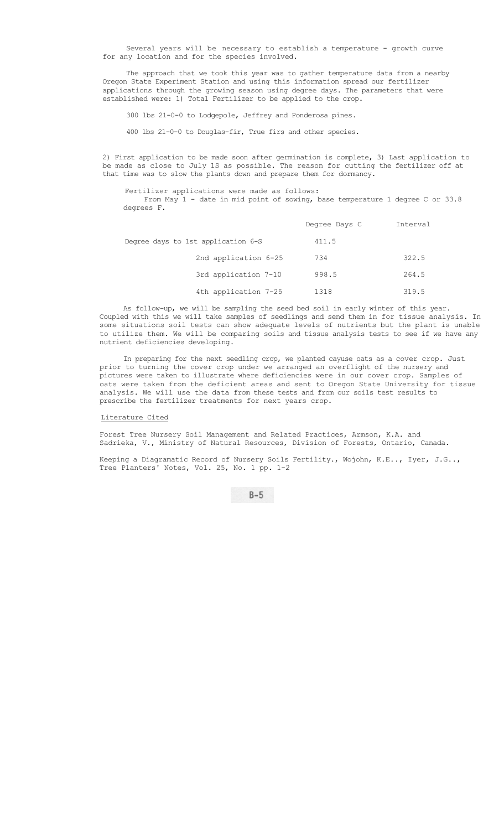Several years will be necessary to establish a temperature - growth curve for any location and for the species involved.

The approach that we took this year was to gather temperature data from a nearby Oregon State Experiment Station and using this information spread our fertilizer applications through the growing season using degree days. The parameters that were established were: 1) Total Fertilizer to be applied to the crop.

300 lbs 21-0-0 to Lodgepole, Jeffrey and Ponderosa pines.

400 lbs 21-0-0 to Douglas-fir, True firs and other species.

2) First application to be made soon after germination is complete, 3) Last application to be made as close to July 1S as possible. The reason for cutting the fertilizer off at that time was to slow the plants down and prepare them for dormancy.

### Fertilizer applications were made as follows:

From May 1 - date in mid point of sowing, base temperature 1 degree C or 33.8 degrees F.

|                                    | Degree Days C | Interval |
|------------------------------------|---------------|----------|
| Degree days to 1st application 6-S | 411.5         |          |
| 2nd application 6-25               | 734           | 322.5    |
| 3rd application 7-10               | 998.5         | 264.5    |
| 4th application 7-25               | 1318          | 319.5    |

As follow-up, we will be sampling the seed bed soil in early winter of this year. Coupled with this we will take samples of seedlings and send them in for tissue analysis. In some situations soil tests can show adequate levels of nutrients but the plant is unable to utilize them. We will be comparing soils and tissue analysis tests to see if we have any nutrient deficiencies developing.

In preparing for the next seedling crop, we planted cayuse oats as a cover crop. Just prior to turning the cover crop under we arranged an overflight of the nursery and pictures were taken to illustrate where deficiencies were in our cover crop. Samples of oats were taken from the deficient areas and sent to Oregon State University for tissue analysis. We will use the data from these tests and from our soils test results to prescribe the fertilizer treatments for next years crop.

Literature Cited

Forest Tree Nursery Soil Management and Related Practices, Armson, K.A. and Sadrieka, V., Ministry of Natural Resources, Division of Forests, Ontario, Canada.

Keeping a Diagramatic Record of Nursery Soils Fertility., Wojohn, K.E.., Iyer, J.G.., Tree Planters' Notes, Vol. 25, No. 1 pp. 1-2